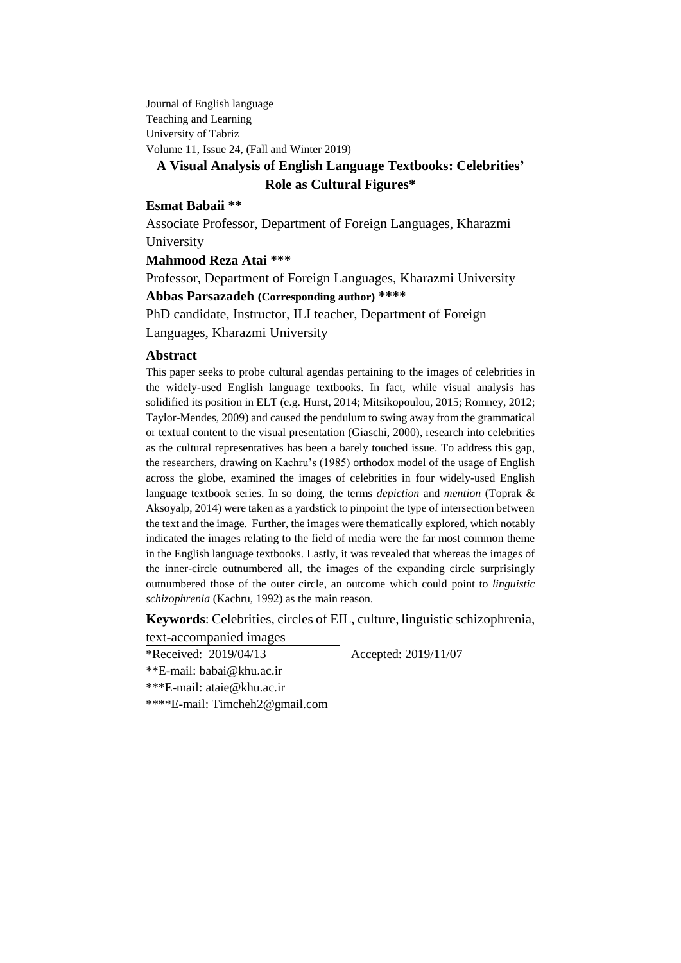Journal of English language Teaching and Learning University of Tabriz Volume 11, Issue 24, (Fall and Winter 2019)

# **A Visual Analysis of English Language Textbooks: Celebrities' Role as Cultural Figures\***

#### **Esmat Babaii \*\***

Associate Professor, Department of Foreign Languages, Kharazmi University

**Mahmood Reza Atai \*\*\***

Professor, Department of Foreign Languages, Kharazmi University **Abbas Parsazadeh (Corresponding author) \*\*\*\***

PhD candidate, Instructor, ILI teacher, Department of Foreign Languages, Kharazmi University

#### **Abstract**

This paper seeks to probe cultural agendas pertaining to the images of celebrities in the widely-used English language textbooks. In fact, while visual analysis has solidified its position in ELT (e.g. Hurst, 2014; Mitsikopoulou, 2015; Romney, 2012; Taylor-Mendes, 2009) and caused the pendulum to swing away from the grammatical or textual content to the visual presentation (Giaschi, 2000), research into celebrities as the cultural representatives has been a barely touched issue. To address this gap, the researchers, drawing on Kachru's (1985) orthodox model of the usage of English across the globe, examined the images of celebrities in four widely-used English language textbook series. In so doing, the terms *depiction* and *mention* (Toprak & Aksoyalp, 2014) were taken as a yardstick to pinpoint the type of intersection between the text and the image. Further, the images were thematically explored, which notably indicated the images relating to the field of media were the far most common theme in the English language textbooks. Lastly, it was revealed that whereas the images of the inner-circle outnumbered all, the images of the expanding circle surprisingly outnumbered those of the outer circle, an outcome which could point to *linguistic schizophrenia* (Kachru, 1992) as the main reason.

**Keywords**: Celebrities, circles of EIL, culture, linguistic schizophrenia, text-accompanied images

\*Received: 2019/04/13 Accepted: 2019/11/07

\*\*E-mail: babai@khu.ac.ir

\*\*\*E-mail: ataie@khu.ac.ir

\*\*\*\*E-mail: Timcheh2@gmail.com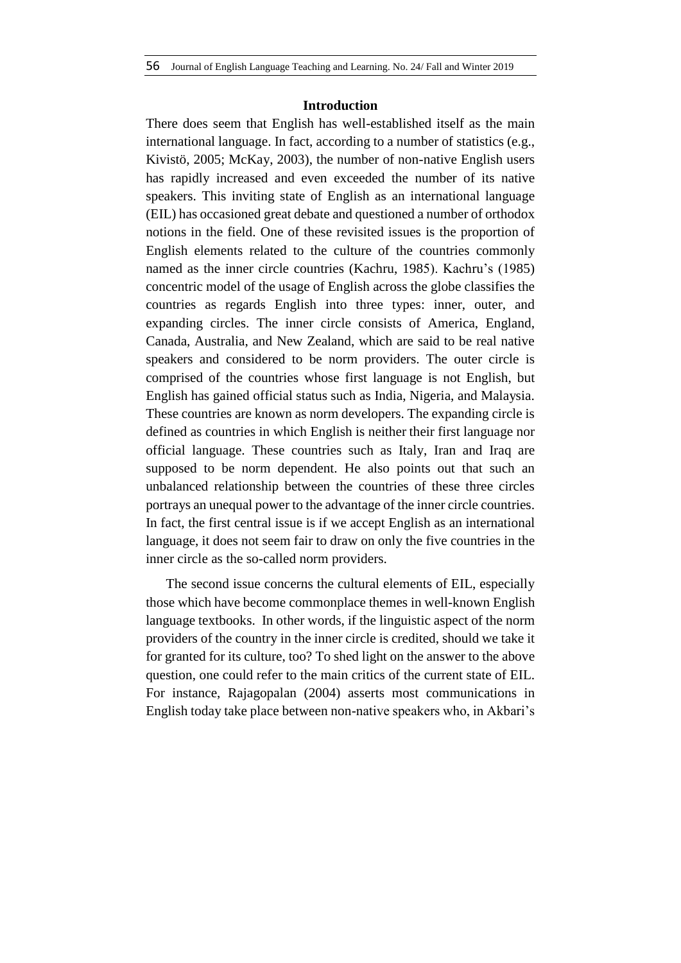## **Introduction**

There does seem that English has well-established itself as the main international language. In fact, according to a number of statistics (e.g., Kivistö, 2005; McKay, 2003), the number of non-native English users has rapidly increased and even exceeded the number of its native speakers. This inviting state of English as an international language (EIL) has occasioned great debate and questioned a number of orthodox notions in the field. One of these revisited issues is the proportion of English elements related to the culture of the countries commonly named as the inner circle countries (Kachru, 1985). Kachru's (1985) concentric model of the usage of English across the globe classifies the countries as regards English into three types: inner, outer, and expanding circles. The inner circle consists of America, England, Canada, Australia, and New Zealand, which are said to be real native speakers and considered to be norm providers. The outer circle is comprised of the countries whose first language is not English, but English has gained official status such as India, Nigeria, and Malaysia. These countries are known as norm developers. The expanding circle is defined as countries in which English is neither their first language nor official language. These countries such as Italy, Iran and Iraq are supposed to be norm dependent. He also points out that such an unbalanced relationship between the countries of these three circles portrays an unequal power to the advantage of the inner circle countries. In fact, the first central issue is if we accept English as an international language, it does not seem fair to draw on only the five countries in the inner circle as the so-called norm providers.

The second issue concerns the cultural elements of EIL, especially those which have become commonplace themes in well-known English language textbooks. In other words, if the linguistic aspect of the norm providers of the country in the inner circle is credited, should we take it for granted for its culture, too? To shed light on the answer to the above question, one could refer to the main critics of the current state of EIL. For instance, Rajagopalan (2004) asserts most communications in English today take place between non-native speakers who, in Akbari's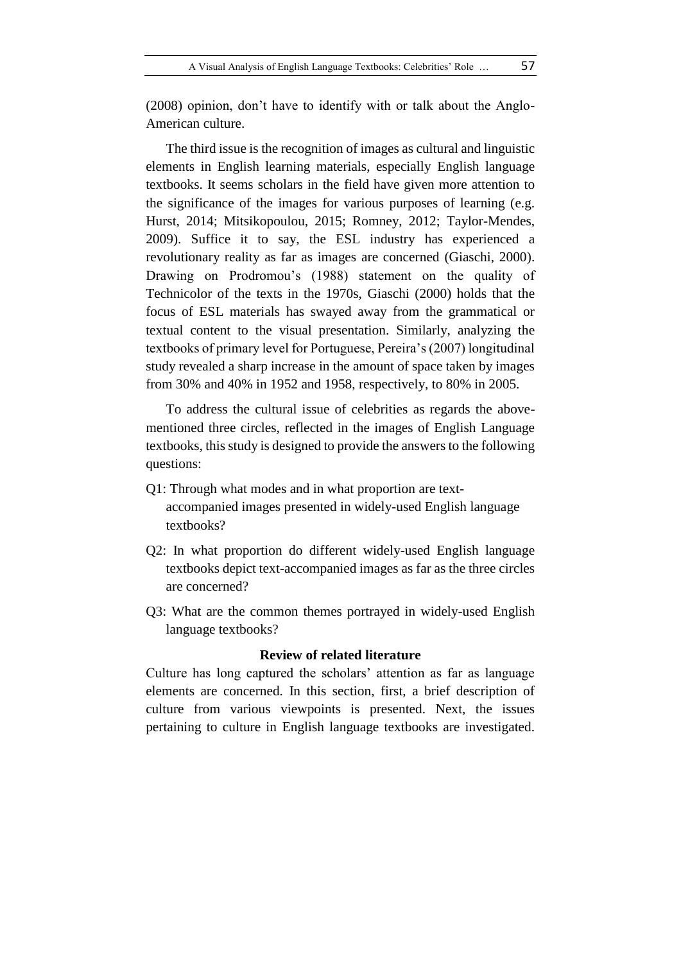(2008) opinion, don't have to identify with or talk about the Anglo-American culture.

The third issue is the recognition of images as cultural and linguistic elements in English learning materials, especially English language textbooks. It seems scholars in the field have given more attention to the significance of the images for various purposes of learning (e.g. Hurst, 2014; Mitsikopoulou, 2015; Romney, 2012; Taylor-Mendes, 2009). Suffice it to say, the ESL industry has experienced a revolutionary reality as far as images are concerned (Giaschi, 2000). Drawing on Prodromou's (1988) statement on the quality of Technicolor of the texts in the 1970s, Giaschi (2000) holds that the focus of ESL materials has swayed away from the grammatical or textual content to the visual presentation. Similarly, analyzing the textbooks of primary level for Portuguese, Pereira's (2007) longitudinal study revealed a sharp increase in the amount of space taken by images from 30% and 40% in 1952 and 1958, respectively, to 80% in 2005.

To address the cultural issue of celebrities as regards the abovementioned three circles, reflected in the images of English Language textbooks, this study is designed to provide the answers to the following questions:

- Q1: Through what modes and in what proportion are textaccompanied images presented in widely-used English language textbooks?
- Q2: In what proportion do different widely-used English language textbooks depict text-accompanied images as far as the three circles are concerned?
- Q3: What are the common themes portrayed in widely-used English language textbooks?

#### **Review of related literature**

Culture has long captured the scholars' attention as far as language elements are concerned. In this section, first, a brief description of culture from various viewpoints is presented. Next, the issues pertaining to culture in English language textbooks are investigated.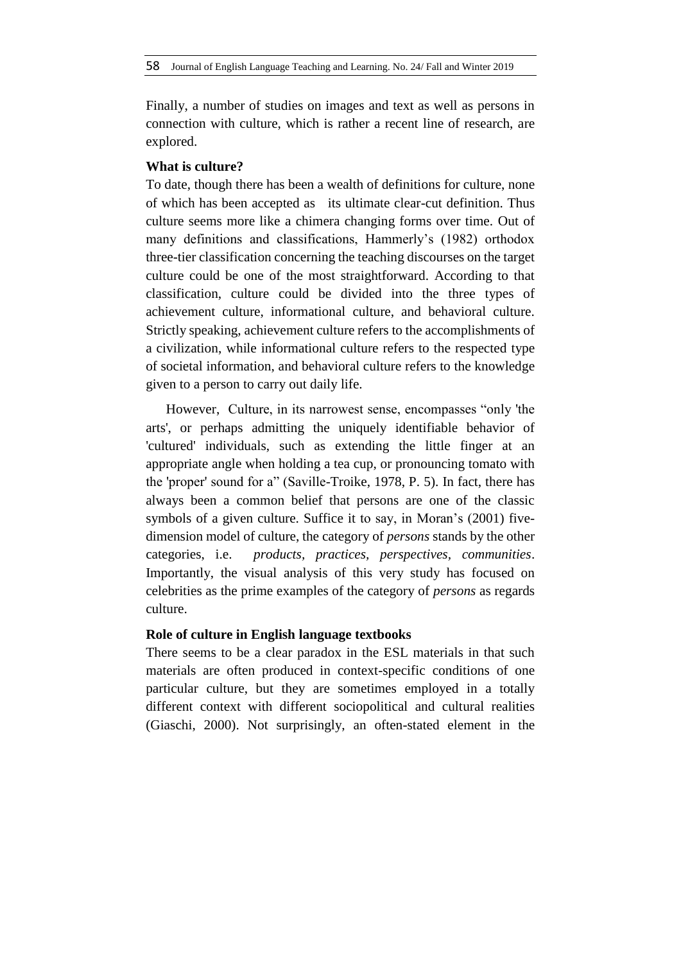Finally, a number of studies on images and text as well as persons in connection with culture, which is rather a recent line of research, are explored.

## **What is culture?**

To date, though there has been a wealth of definitions for culture, none of which has been accepted as its ultimate clear-cut definition. Thus culture seems more like a chimera changing forms over time. Out of many definitions and classifications, Hammerly's (1982) orthodox three-tier classification concerning the teaching discourses on the target culture could be one of the most straightforward. According to that classification, culture could be divided into the three types of achievement culture, informational culture, and behavioral culture. Strictly speaking, achievement culture refers to the accomplishments of a civilization, while informational culture refers to the respected type of societal information, and behavioral culture refers to the knowledge given to a person to carry out daily life.

However, Culture, in its narrowest sense, encompasses "only 'the arts', or perhaps admitting the uniquely identifiable behavior of 'cultured' individuals, such as extending the little finger at an appropriate angle when holding a tea cup, or pronouncing tomato with the 'proper' sound for a" (Saville-Troike, 1978, P. 5). In fact, there has always been a common belief that persons are one of the classic symbols of a given culture. Suffice it to say, in Moran's (2001) fivedimension model of culture, the category of *persons* stands by the other categories, i.e. *products, practices, perspectives, communities*. Importantly, the visual analysis of this very study has focused on celebrities as the prime examples of the category of *persons* as regards culture.

# **Role of culture in English language textbooks**

There seems to be a clear paradox in the ESL materials in that such materials are often produced in context-specific conditions of one particular culture, but they are sometimes employed in a totally different context with different sociopolitical and cultural realities (Giaschi, 2000). Not surprisingly, an often-stated element in the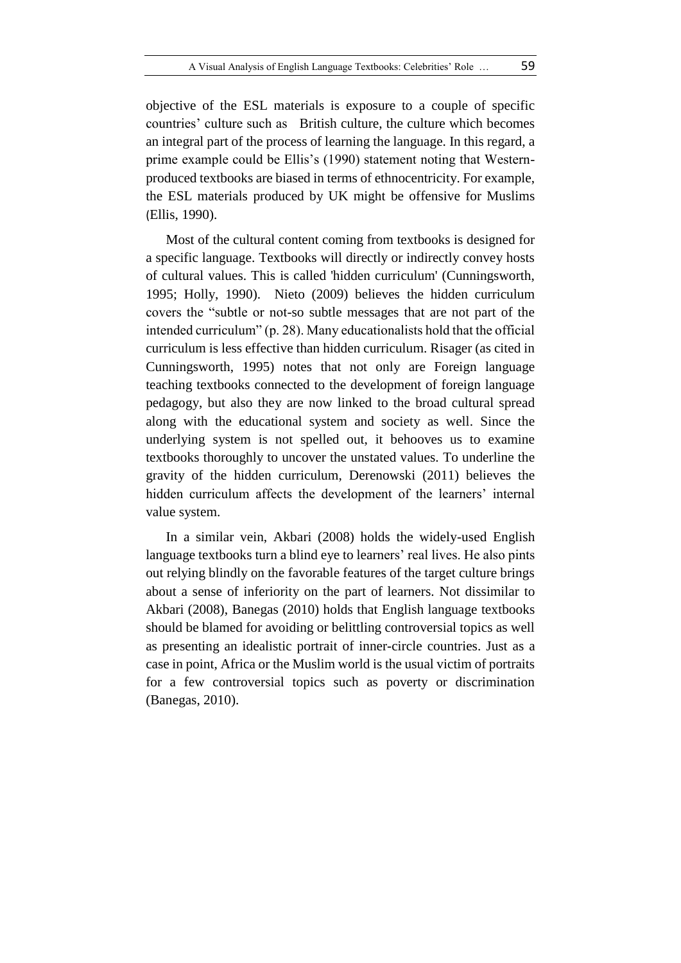objective of the ESL materials is exposure to a couple of specific countries' culture such as British culture, the culture which becomes an integral part of the process of learning the language. In this regard, a prime example could be Ellis's (1990) statement noting that Westernproduced textbooks are biased in terms of ethnocentricity. For example, the ESL materials produced by UK might be offensive for Muslims (Ellis, 1990).

Most of the cultural content coming from textbooks is designed for a specific language. Textbooks will directly or indirectly convey hosts of cultural values. This is called 'hidden curriculum' (Cunningsworth, 1995; Holly, 1990). Nieto (2009) believes the hidden curriculum covers the "subtle or not-so subtle messages that are not part of the intended curriculum" (p. 28). Many educationalists hold that the official curriculum is less effective than hidden curriculum. Risager (as cited in Cunningsworth, 1995) notes that not only are Foreign language teaching textbooks connected to the development of foreign language pedagogy, but also they are now linked to the broad cultural spread along with the educational system and society as well. Since the underlying system is not spelled out, it behooves us to examine textbooks thoroughly to uncover the unstated values. To underline the gravity of the hidden curriculum, Derenowski (2011) believes the hidden curriculum affects the development of the learners' internal value system.

In a similar vein, Akbari (2008) holds the widely-used English language textbooks turn a blind eye to learners' real lives. He also pints out relying blindly on the favorable features of the target culture brings about a sense of inferiority on the part of learners. Not dissimilar to Akbari (2008), Banegas (2010) holds that English language textbooks should be blamed for avoiding or belittling controversial topics as well as presenting an idealistic portrait of inner-circle countries. Just as a case in point, Africa or the Muslim world is the usual victim of portraits for a few controversial topics such as poverty or discrimination (Banegas, 2010).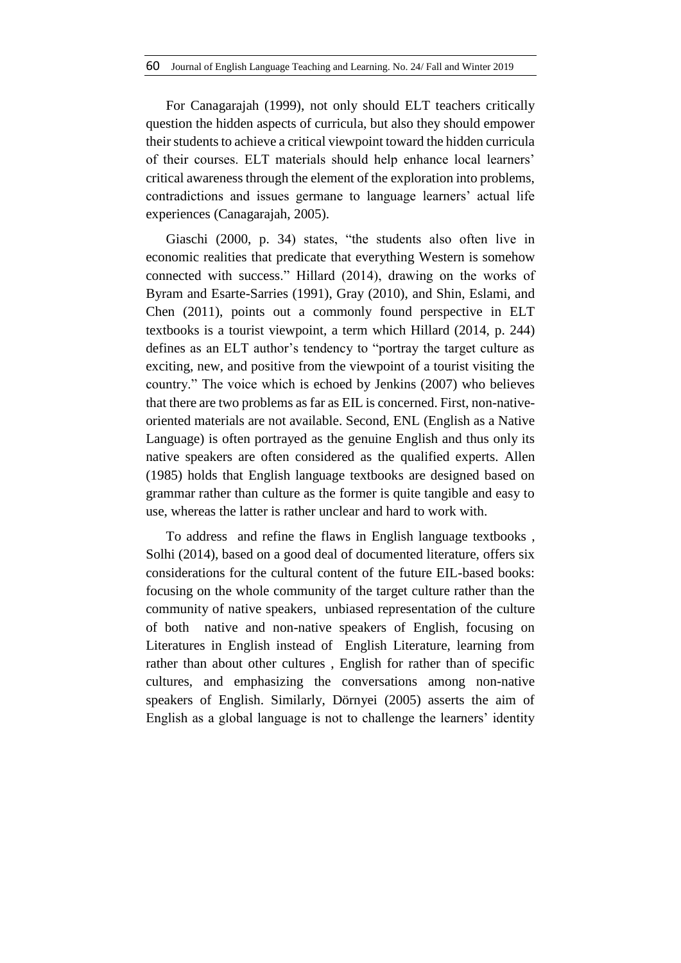For Canagarajah (1999), not only should ELT teachers critically question the hidden aspects of curricula, but also they should empower their students to achieve a critical viewpoint toward the hidden curricula of their courses. ELT materials should help enhance local learners' critical awareness through the element of the exploration into problems, contradictions and issues germane to language learners' actual life experiences (Canagarajah, 2005).

Giaschi (2000, p. 34) states, "the students also often live in economic realities that predicate that everything Western is somehow connected with success." Hillard (2014), drawing on the works of Byram and Esarte-Sarries (1991), Gray (2010), and Shin, Eslami, and Chen (2011), points out a commonly found perspective in ELT textbooks is a tourist viewpoint, a term which Hillard (2014, p. 244) defines as an ELT author's tendency to "portray the target culture as exciting, new, and positive from the viewpoint of a tourist visiting the country." The voice which is echoed by Jenkins (2007) who believes that there are two problems as far as EIL is concerned. First, non-nativeoriented materials are not available. Second, ENL (English as a Native Language) is often portrayed as the genuine English and thus only its native speakers are often considered as the qualified experts. Allen (1985) holds that English language textbooks are designed based on grammar rather than culture as the former is quite tangible and easy to use, whereas the latter is rather unclear and hard to work with.

To address and refine the flaws in English language textbooks , Solhi (2014), based on a good deal of documented literature, offers six considerations for the cultural content of the future EIL-based books: focusing on the whole community of the target culture rather than the community of native speakers, unbiased representation of the culture of both native and non-native speakers of English, focusing on Literatures in English instead of English Literature, learning from rather than about other cultures , English for rather than of specific cultures, and emphasizing the conversations among non-native speakers of English. Similarly, Dörnyei (2005) asserts the aim of English as a global language is not to challenge the learners' identity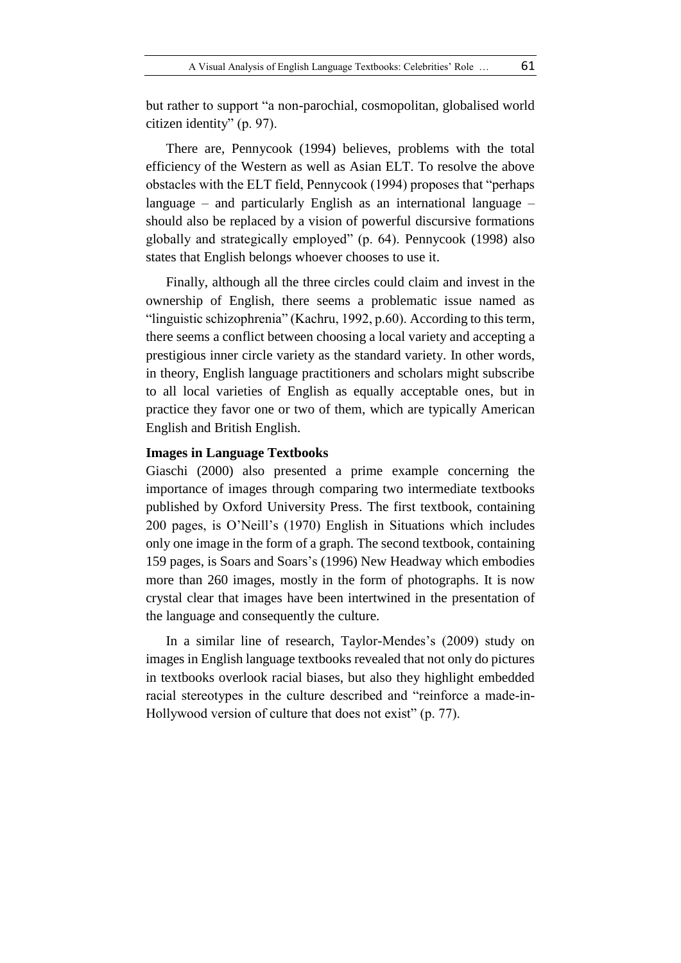but rather to support "a non-parochial, cosmopolitan, globalised world citizen identity" (p. 97).

There are, Pennycook (1994) believes, problems with the total efficiency of the Western as well as Asian ELT. To resolve the above obstacles with the ELT field, Pennycook (1994) proposes that "perhaps language – and particularly English as an international language – should also be replaced by a vision of powerful discursive formations globally and strategically employed" (p. 64). Pennycook (1998) also states that English belongs whoever chooses to use it.

Finally, although all the three circles could claim and invest in the ownership of English, there seems a problematic issue named as "linguistic schizophrenia" (Kachru, 1992, p.60). According to this term, there seems a conflict between choosing a local variety and accepting a prestigious inner circle variety as the standard variety. In other words, in theory, English language practitioners and scholars might subscribe to all local varieties of English as equally acceptable ones, but in practice they favor one or two of them, which are typically American English and British English.

# **Images in Language Textbooks**

Giaschi (2000) also presented a prime example concerning the importance of images through comparing two intermediate textbooks published by Oxford University Press. The first textbook, containing 200 pages, is O'Neill's (1970) English in Situations which includes only one image in the form of a graph. The second textbook, containing 159 pages, is Soars and Soars's (1996) New Headway which embodies more than 260 images, mostly in the form of photographs. It is now crystal clear that images have been intertwined in the presentation of the language and consequently the culture.

In a similar line of research, Taylor-Mendes's (2009) study on images in English language textbooks revealed that not only do pictures in textbooks overlook racial biases, but also they highlight embedded racial stereotypes in the culture described and "reinforce a made-in-Hollywood version of culture that does not exist" (p. 77).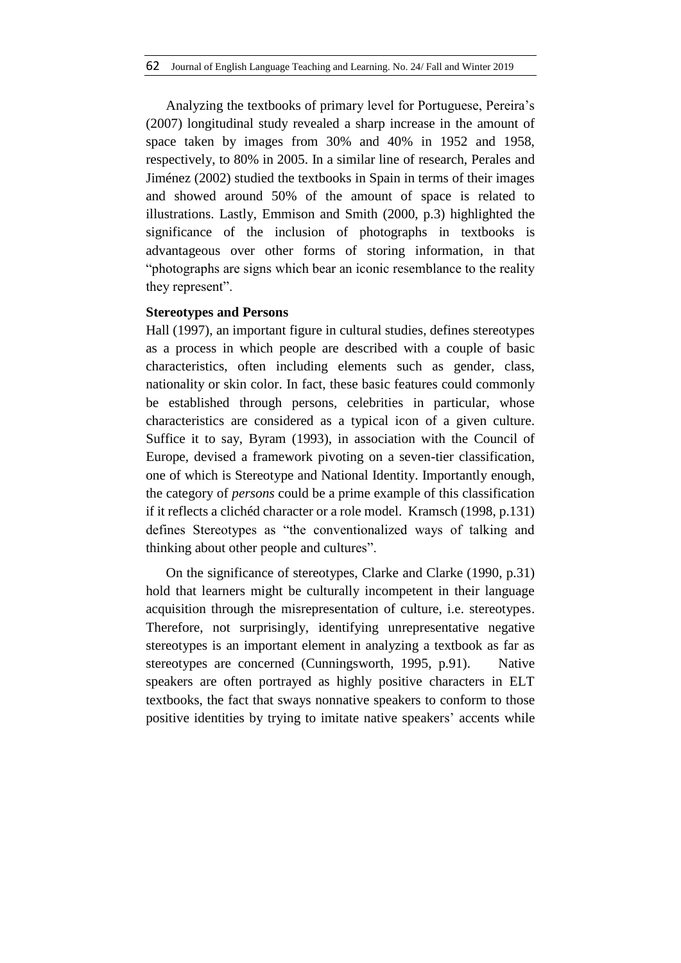Analyzing the textbooks of primary level for Portuguese, Pereira's (2007) longitudinal study revealed a sharp increase in the amount of space taken by images from 30% and 40% in 1952 and 1958, respectively, to 80% in 2005. In a similar line of research, Perales and Jiménez (2002) studied the textbooks in Spain in terms of their images and showed around 50% of the amount of space is related to illustrations. Lastly, Emmison and Smith (2000, p.3) highlighted the significance of the inclusion of photographs in textbooks is advantageous over other forms of storing information, in that "photographs are signs which bear an iconic resemblance to the reality they represent".

#### **Stereotypes and Persons**

Hall (1997), an important figure in cultural studies, defines stereotypes as a process in which people are described with a couple of basic characteristics, often including elements such as gender, class, nationality or skin color. In fact, these basic features could commonly be established through persons, celebrities in particular, whose characteristics are considered as a typical icon of a given culture. Suffice it to say, Byram (1993), in association with the Council of Europe, devised a framework pivoting on a seven-tier classification, one of which is Stereotype and National Identity. Importantly enough, the category of *persons* could be a prime example of this classification if it reflects a clichéd character or a role model. Kramsch (1998, p.131) defines Stereotypes as "the conventionalized ways of talking and thinking about other people and cultures".

On the significance of stereotypes, Clarke and Clarke (1990, p.31) hold that learners might be culturally incompetent in their language acquisition through the misrepresentation of culture, i.e. stereotypes. Therefore, not surprisingly, identifying unrepresentative negative stereotypes is an important element in analyzing a textbook as far as stereotypes are concerned (Cunningsworth, 1995, p.91). Native speakers are often portrayed as highly positive characters in ELT textbooks, the fact that sways nonnative speakers to conform to those positive identities by trying to imitate native speakers' accents while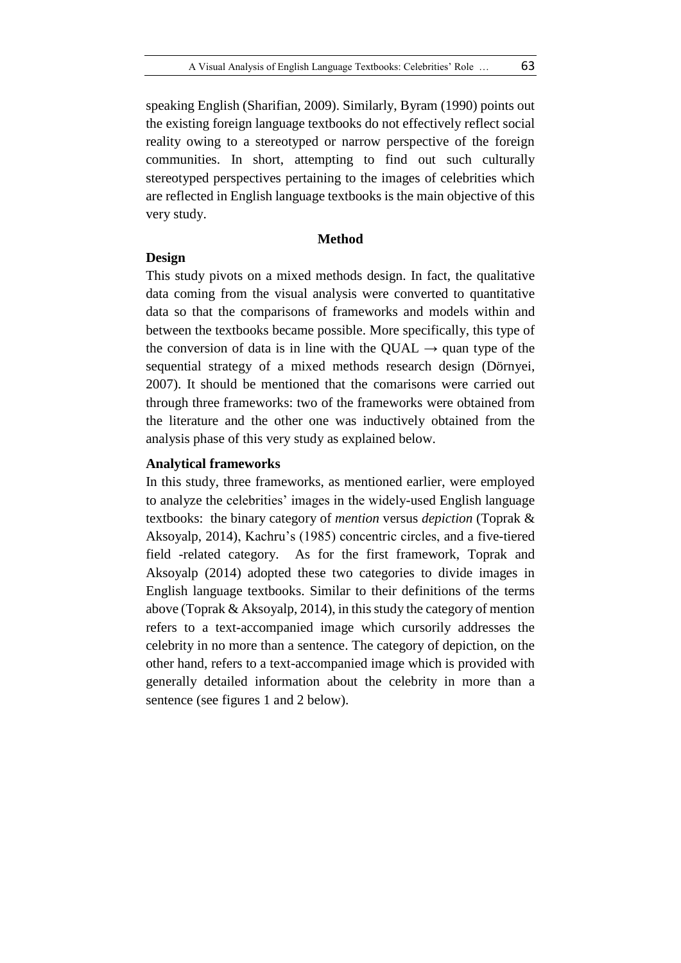speaking English (Sharifian, 2009). Similarly, Byram (1990) points out the existing foreign language textbooks do not effectively reflect social reality owing to a stereotyped or narrow perspective of the foreign communities. In short, attempting to find out such culturally stereotyped perspectives pertaining to the images of celebrities which are reflected in English language textbooks is the main objective of this very study.

#### **Method**

#### **Design**

This study pivots on a mixed methods design. In fact, the qualitative data coming from the visual analysis were converted to quantitative data so that the comparisons of frameworks and models within and between the textbooks became possible. More specifically, this type of the conversion of data is in line with the QUAL  $\rightarrow$  quan type of the sequential strategy of a mixed methods research design (Dörnyei, 2007). It should be mentioned that the comarisons were carried out through three frameworks: two of the frameworks were obtained from the literature and the other one was inductively obtained from the analysis phase of this very study as explained below.

## **Analytical frameworks**

In this study, three frameworks, as mentioned earlier, were employed to analyze the celebrities' images in the widely-used English language textbooks: the binary category of *mention* versus *depiction* (Toprak & Aksoyalp, 2014), Kachru's (1985) concentric circles, and a five-tiered field -related category. As for the first framework, Toprak and Aksoyalp (2014) adopted these two categories to divide images in English language textbooks. Similar to their definitions of the terms above (Toprak & Aksoyalp, 2014), in this study the category of mention refers to a text-accompanied image which cursorily addresses the celebrity in no more than a sentence. The category of depiction, on the other hand, refers to a text-accompanied image which is provided with generally detailed information about the celebrity in more than a sentence (see figures 1 and 2 below).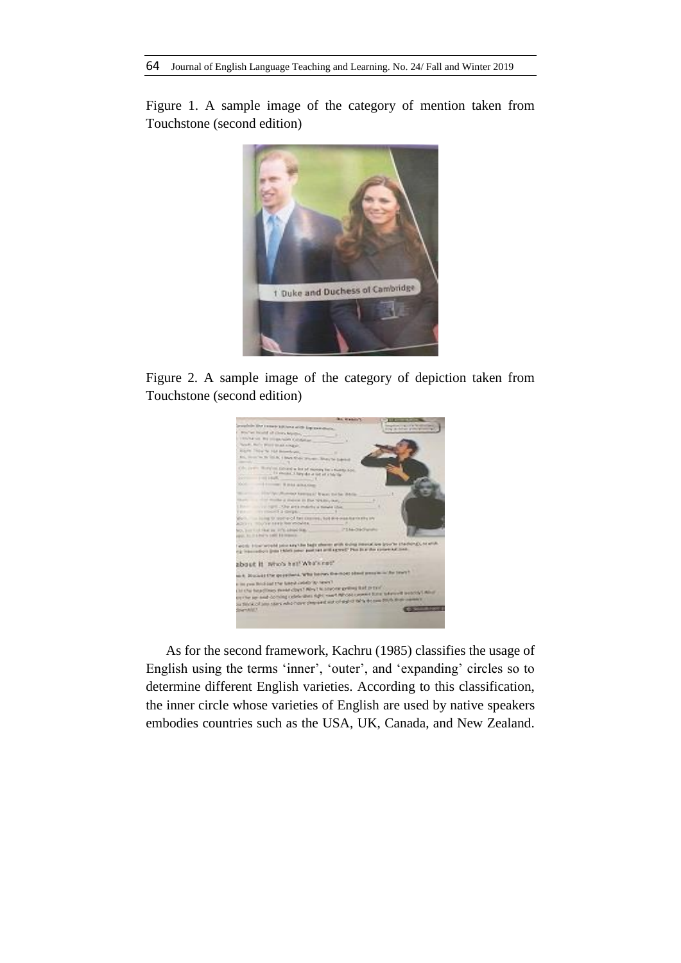Figure 1. A sample image of the category of mention taken from Touchstone (second edition)



Figure 2. A sample image of the category of depiction taken from Touchstone (second edition)



As for the second framework, Kachru (1985) classifies the usage of English using the terms 'inner', 'outer', and 'expanding' circles so to determine different English varieties. According to this classification, the inner circle whose varieties of English are used by native speakers embodies countries such as the USA, UK, Canada, and New Zealand.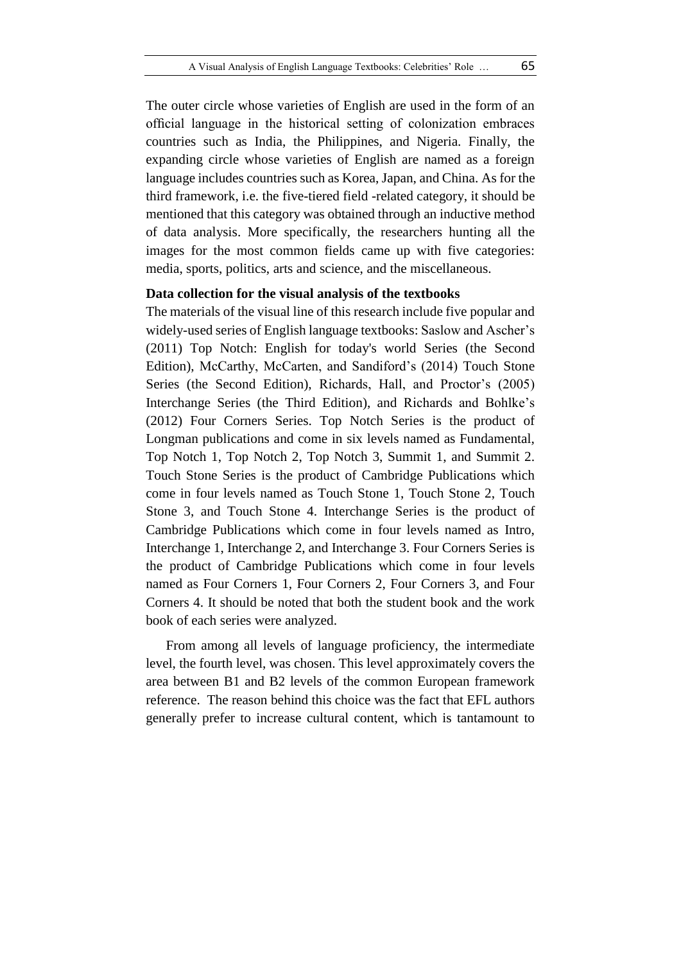The outer circle whose varieties of English are used in the form of an official language in the historical setting of colonization embraces countries such as India, the Philippines, and Nigeria. Finally, the expanding circle whose varieties of English are named as a foreign language includes countries such as Korea, Japan, and China. As for the third framework, i.e. the five-tiered field -related category, it should be mentioned that this category was obtained through an inductive method of data analysis. More specifically, the researchers hunting all the images for the most common fields came up with five categories: media, sports, politics, arts and science, and the miscellaneous.

## **Data collection for the visual analysis of the textbooks**

The materials of the visual line of this research include five popular and widely-used series of English language textbooks: Saslow and Ascher's (2011) Top Notch: English for today's world Series (the Second Edition), McCarthy, McCarten, and Sandiford's (2014) Touch Stone Series (the Second Edition), Richards, Hall, and Proctor's (2005) Interchange Series (the Third Edition), and Richards and Bohlke's (2012) Four Corners Series. Top Notch Series is the product of Longman publications and come in six levels named as Fundamental, Top Notch 1, Top Notch 2, Top Notch 3, Summit 1, and Summit 2. Touch Stone Series is the product of Cambridge Publications which come in four levels named as Touch Stone 1, Touch Stone 2, Touch Stone 3, and Touch Stone 4. Interchange Series is the product of Cambridge Publications which come in four levels named as Intro, Interchange 1, Interchange 2, and Interchange 3. Four Corners Series is the product of Cambridge Publications which come in four levels named as Four Corners 1, Four Corners 2, Four Corners 3, and Four Corners 4. It should be noted that both the student book and the work book of each series were analyzed.

From among all levels of language proficiency, the intermediate level, the fourth level, was chosen. This level approximately covers the area between B1 and B2 levels of the common European framework reference. The reason behind this choice was the fact that EFL authors generally prefer to increase cultural content, which is tantamount to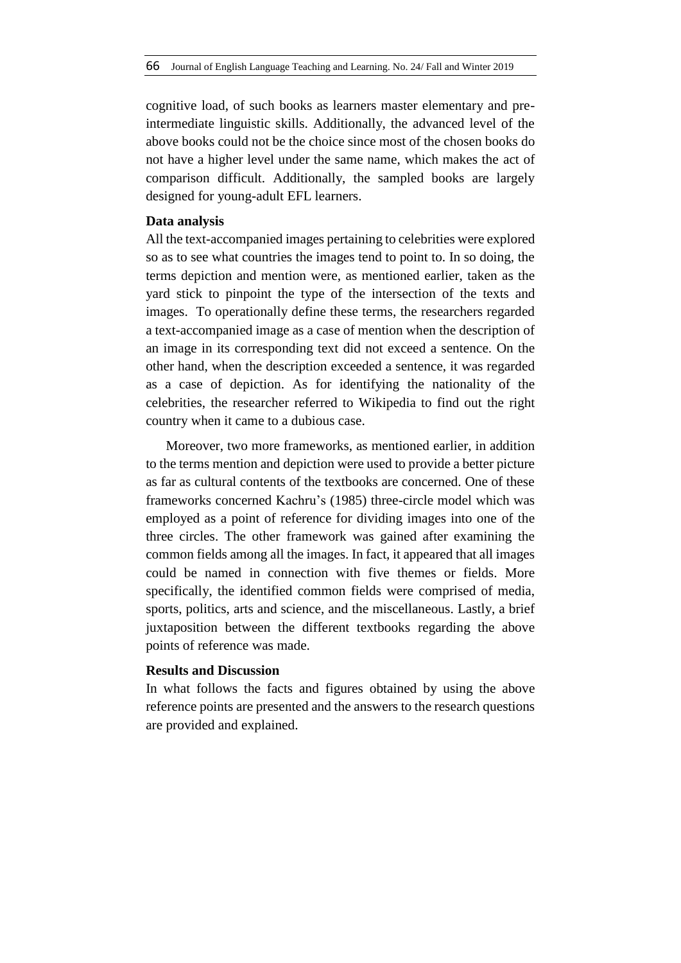cognitive load, of such books as learners master elementary and preintermediate linguistic skills. Additionally, the advanced level of the above books could not be the choice since most of the chosen books do not have a higher level under the same name, which makes the act of comparison difficult. Additionally, the sampled books are largely designed for young-adult EFL learners.

# **Data analysis**

All the text-accompanied images pertaining to celebrities were explored so as to see what countries the images tend to point to. In so doing, the terms depiction and mention were, as mentioned earlier, taken as the yard stick to pinpoint the type of the intersection of the texts and images. To operationally define these terms, the researchers regarded a text-accompanied image as a case of mention when the description of an image in its corresponding text did not exceed a sentence. On the other hand, when the description exceeded a sentence, it was regarded as a case of depiction. As for identifying the nationality of the celebrities, the researcher referred to Wikipedia to find out the right country when it came to a dubious case.

Moreover, two more frameworks, as mentioned earlier, in addition to the terms mention and depiction were used to provide a better picture as far as cultural contents of the textbooks are concerned. One of these frameworks concerned Kachru's (1985) three-circle model which was employed as a point of reference for dividing images into one of the three circles. The other framework was gained after examining the common fields among all the images. In fact, it appeared that all images could be named in connection with five themes or fields. More specifically, the identified common fields were comprised of media, sports, politics, arts and science, and the miscellaneous. Lastly, a brief juxtaposition between the different textbooks regarding the above points of reference was made.

# **Results and Discussion**

In what follows the facts and figures obtained by using the above reference points are presented and the answers to the research questions are provided and explained.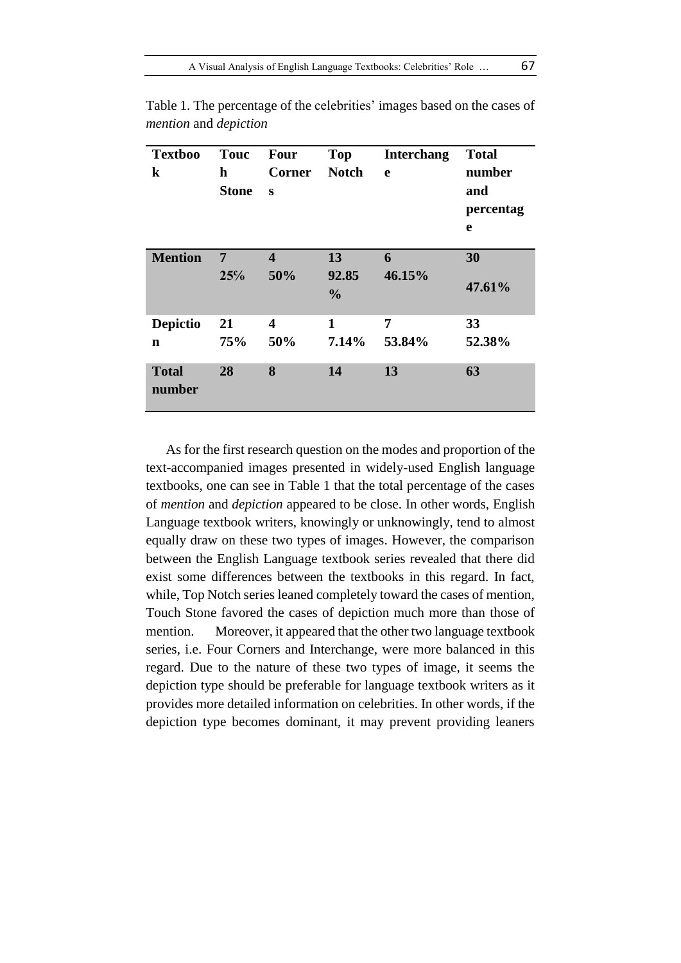| <b>Textboo</b><br>$\bf k$ | <b>Touc</b><br>h<br><b>Stone</b> | <b>Four</b><br><b>Corner</b><br>S | <b>Top</b><br><b>Notch</b>   | <b>Interchang</b><br>$\mathbf e$ | <b>Total</b><br>number<br>and<br>percentag<br>e |
|---------------------------|----------------------------------|-----------------------------------|------------------------------|----------------------------------|-------------------------------------------------|
| <b>Mention</b>            | 7<br>25%                         | $\overline{\mathbf{4}}$<br>50%    | 13<br>92.85<br>$\frac{0}{0}$ | 6<br>46.15%                      | 30<br>47.61%                                    |
| <b>Depictio</b>           | 21                               | 4                                 | 1                            | 7                                | 33                                              |
| $\mathbf n$               | 75%                              | 50%                               | 7.14%                        | 53.84%                           | 52.38%                                          |
| <b>Total</b><br>number    | 28                               | 8                                 | 14                           | 13                               | 63                                              |

Table 1. The percentage of the celebrities' images based on the cases of *mention* and *depiction*

As for the first research question on the modes and proportion of the text-accompanied images presented in widely-used English language textbooks, one can see in Table 1 that the total percentage of the cases of *mention* and *depiction* appeared to be close. In other words, English Language textbook writers, knowingly or unknowingly, tend to almost equally draw on these two types of images. However, the comparison between the English Language textbook series revealed that there did exist some differences between the textbooks in this regard. In fact, while, Top Notch series leaned completely toward the cases of mention, Touch Stone favored the cases of depiction much more than those of mention. Moreover, it appeared that the other two language textbook series, i.e. Four Corners and Interchange, were more balanced in this regard. Due to the nature of these two types of image, it seems the depiction type should be preferable for language textbook writers as it provides more detailed information on celebrities. In other words, if the depiction type becomes dominant, it may prevent providing leaners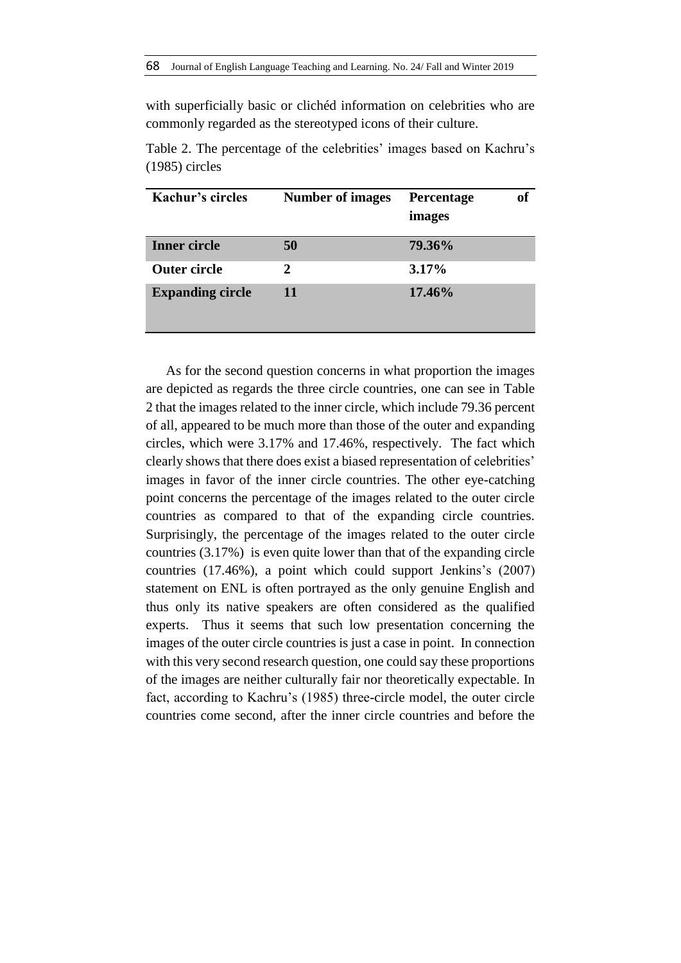with superficially basic or clichéd information on celebrities who are commonly regarded as the stereotyped icons of their culture.

| Kachur's circles        | <b>Number of images</b> | of<br>Percentage<br>images |
|-------------------------|-------------------------|----------------------------|
| <b>Inner circle</b>     | 50                      | 79.36%                     |
| <b>Outer circle</b>     | 2                       | 3.17%                      |
| <b>Expanding circle</b> | 11                      | 17.46%                     |

Table 2. The percentage of the celebrities' images based on Kachru's (1985) circles

As for the second question concerns in what proportion the images are depicted as regards the three circle countries, one can see in Table 2 that the images related to the inner circle, which include 79.36 percent of all, appeared to be much more than those of the outer and expanding circles, which were 3.17% and 17.46%, respectively. The fact which clearly shows that there does exist a biased representation of celebrities' images in favor of the inner circle countries. The other eye-catching point concerns the percentage of the images related to the outer circle countries as compared to that of the expanding circle countries. Surprisingly, the percentage of the images related to the outer circle countries (3.17%) is even quite lower than that of the expanding circle countries (17.46%), a point which could support Jenkins's (2007) statement on ENL is often portrayed as the only genuine English and thus only its native speakers are often considered as the qualified experts. Thus it seems that such low presentation concerning the images of the outer circle countries is just a case in point. In connection with this very second research question, one could say these proportions of the images are neither culturally fair nor theoretically expectable. In fact, according to Kachru's (1985) three-circle model, the outer circle countries come second, after the inner circle countries and before the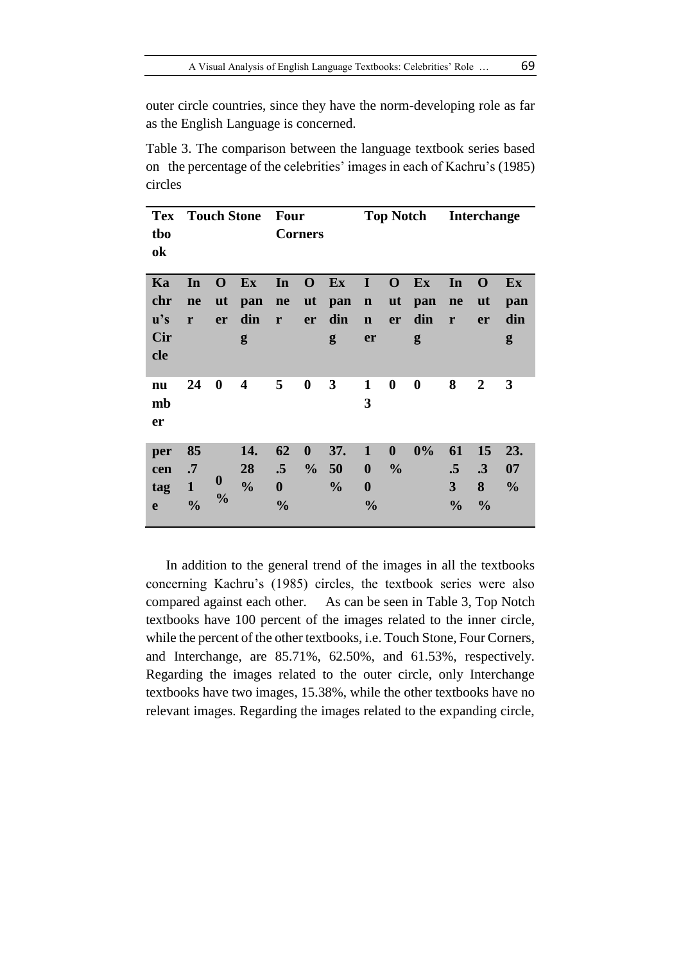outer circle countries, since they have the norm-developing role as far as the English Language is concerned.

Table 3. The comparison between the language textbook series based on the percentage of the celebrities' images in each of Kachru's (1985) circles

| <b>Tex</b><br>tbo<br>ok |               |                  | <b>Touch Stone</b>      | <b>Four</b>      | <b>Corners</b>   |               |                   | <b>Top Notch</b> |                  |               | <b>Interchange</b> |               |
|-------------------------|---------------|------------------|-------------------------|------------------|------------------|---------------|-------------------|------------------|------------------|---------------|--------------------|---------------|
| Ka                      | In            | $\mathbf 0$      | Ex                      | In               | $\mathbf{O}$     | Ex            | $\bf{I}$          | $\mathbf 0$      | $Ex$             | In            | $\mathbf 0$        | $Ex$          |
| chr                     | ne            | $u$ t            | pan                     | ne               | <b>ut</b>        | pan           | $\mathbf n$       | <b>ut</b>        | pan              | ne            | $\mathbf{u}$ t     | pan           |
| $\mathbf{u}'\mathbf{s}$ | r             | er               | din                     | $\mathbf r$      | er               | din           | $\mathbf n$       | er               | din              | r             | er                 | din           |
| Cir<br>cle              |               |                  | g                       |                  |                  | g             | er                |                  | g                |               |                    | g             |
| nu<br>mb<br>er          | 24            | $\boldsymbol{0}$ | $\overline{\mathbf{4}}$ | 5                | $\boldsymbol{0}$ | 3             | $\mathbf{1}$<br>3 | $\boldsymbol{0}$ | $\boldsymbol{0}$ | 8             | $\boldsymbol{2}$   | 3             |
| per                     | 85            |                  | 14.                     | 62               | $\boldsymbol{0}$ | 37.           | $\mathbf{1}$      | $\boldsymbol{0}$ | 0%               | 61            | 15                 | 23.           |
| cen                     | $\cdot$ 7     |                  | 28                      | .5               | $\frac{6}{9}$    | 50            | $\boldsymbol{0}$  | $\frac{0}{0}$    |                  | $\cdot$ 5     | $\cdot \cdot$      | 07            |
| tag                     | $\mathbf{1}$  | $\bf{0}$         | $\frac{0}{0}$           | $\boldsymbol{0}$ |                  | $\frac{0}{0}$ | $\boldsymbol{0}$  |                  |                  | 3             | 8                  | $\frac{0}{0}$ |
| e                       | $\frac{0}{0}$ | $\frac{0}{0}$    |                         | $\frac{0}{0}$    |                  |               | $\frac{0}{0}$     |                  |                  | $\frac{0}{0}$ | $\frac{0}{0}$      |               |

In addition to the general trend of the images in all the textbooks concerning Kachru's (1985) circles, the textbook series were also compared against each other. As can be seen in Table 3, Top Notch textbooks have 100 percent of the images related to the inner circle, while the percent of the other textbooks, i.e. Touch Stone, Four Corners, and Interchange, are 85.71%, 62.50%, and 61.53%, respectively. Regarding the images related to the outer circle, only Interchange textbooks have two images, 15.38%, while the other textbooks have no relevant images. Regarding the images related to the expanding circle,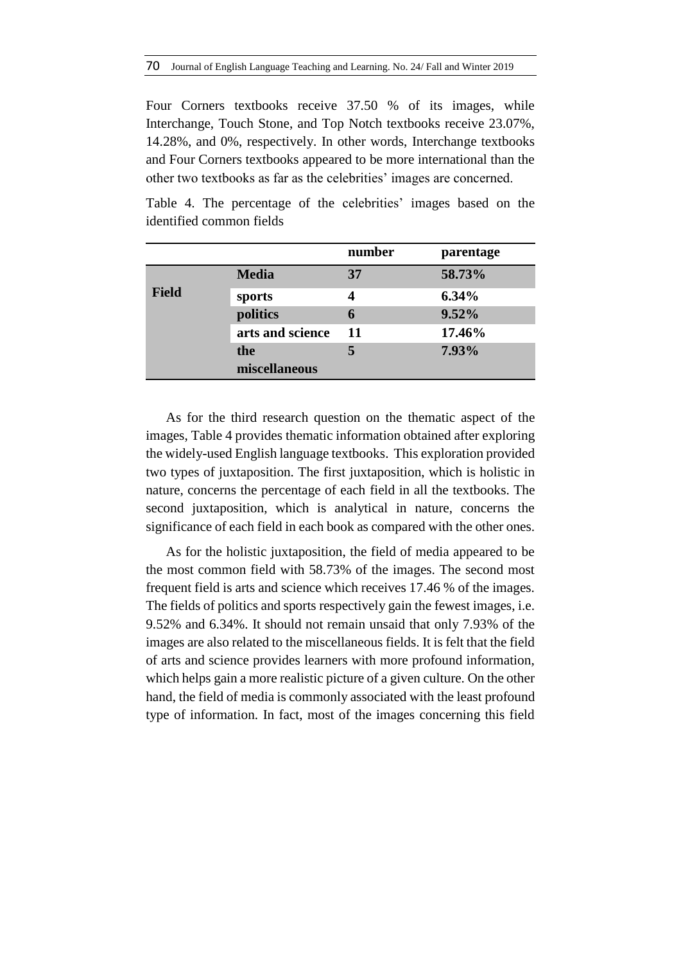Four Corners textbooks receive 37.50 % of its images, while Interchange, Touch Stone, and Top Notch textbooks receive 23.07%, 14.28%, and 0%, respectively. In other words, Interchange textbooks and Four Corners textbooks appeared to be more international than the other two textbooks as far as the celebrities' images are concerned.

|       |                  | number | parentage |
|-------|------------------|--------|-----------|
|       | <b>Media</b>     | 37     | 58.73%    |
| Field | sports           | 4      | $6.34\%$  |
|       | politics         | 6      | 9.52%     |
|       | arts and science | 11     | 17.46%    |
|       | the              | 5      | 7.93%     |
|       | miscellaneous    |        |           |

Table 4. The percentage of the celebrities' images based on the identified common fields

As for the third research question on the thematic aspect of the images, Table 4 provides thematic information obtained after exploring the widely-used English language textbooks. This exploration provided two types of juxtaposition. The first juxtaposition, which is holistic in nature, concerns the percentage of each field in all the textbooks. The second juxtaposition, which is analytical in nature, concerns the significance of each field in each book as compared with the other ones.

As for the holistic juxtaposition, the field of media appeared to be the most common field with 58.73% of the images. The second most frequent field is arts and science which receives 17.46 % of the images. The fields of politics and sports respectively gain the fewest images, i.e. 9.52% and 6.34%. It should not remain unsaid that only 7.93% of the images are also related to the miscellaneous fields. It is felt that the field of arts and science provides learners with more profound information, which helps gain a more realistic picture of a given culture. On the other hand, the field of media is commonly associated with the least profound type of information. In fact, most of the images concerning this field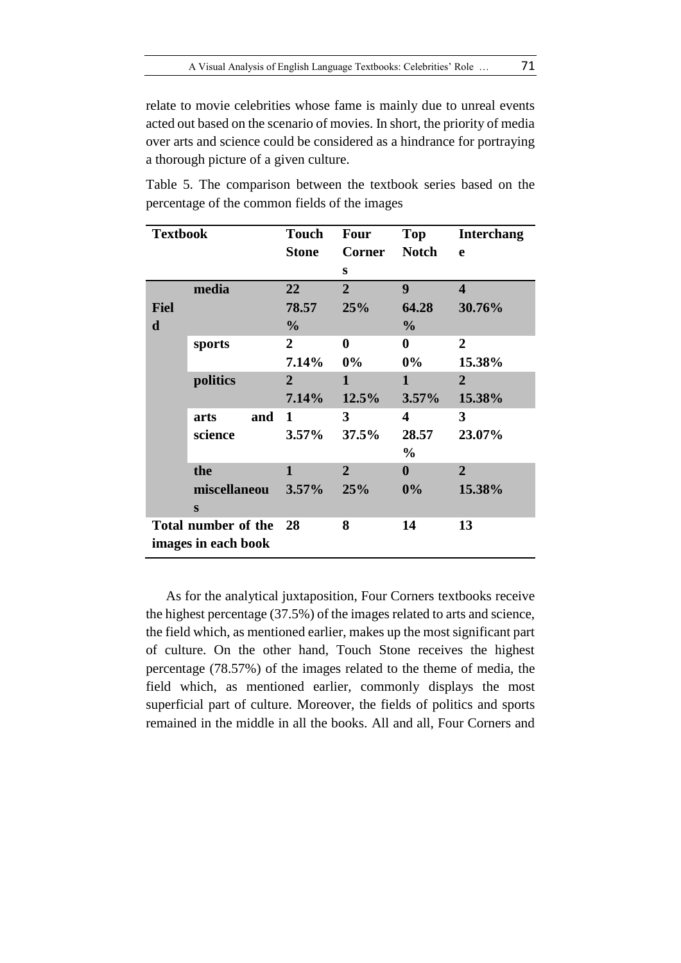relate to movie celebrities whose fame is mainly due to unreal events acted out based on the scenario of movies. In short, the priority of media over arts and science could be considered as a hindrance for portraying a thorough picture of a given culture.

| <b>Textbook</b> |                     | <b>Touch</b>   | <b>Four</b>      | Top              | <b>Interchang</b>       |
|-----------------|---------------------|----------------|------------------|------------------|-------------------------|
|                 |                     | <b>Stone</b>   | <b>Corner</b>    | <b>Notch</b>     | e                       |
|                 |                     |                | S                |                  |                         |
|                 | media               | 22             | $\overline{2}$   | 9                | $\overline{\mathbf{4}}$ |
| <b>Fiel</b>     |                     | 78.57          | 25%              | 64.28            | 30.76%                  |
| d               |                     | $\frac{0}{0}$  |                  | $\frac{0}{0}$    |                         |
|                 | sports              | 2              | $\boldsymbol{0}$ | $\bf{0}$         | $\overline{2}$          |
|                 |                     | 7.14%          | $0\%$            | $0\%$            | 15.38%                  |
|                 | politics            | $\overline{2}$ | 1                | $\mathbf{1}$     | $\overline{2}$          |
|                 |                     | 7.14%          | 12.5%            | $3.57\%$         | 15.38%                  |
|                 | arts<br>and         | 1              | 3                | 4                | 3                       |
|                 | science             | $3.57\%$       | 37.5%            | 28.57            | 23.07%                  |
|                 |                     |                |                  | $\frac{0}{0}$    |                         |
|                 | the                 | 1              | $\overline{2}$   | $\boldsymbol{0}$ | $\overline{2}$          |
|                 | miscellaneou        | $3.57\%$       | 25%              | 0%               | 15.38%                  |
|                 | S                   |                |                  |                  |                         |
|                 | Total number of the | - 28           | 8                | 14               | 13                      |
|                 | images in each book |                |                  |                  |                         |

Table 5. The comparison between the textbook series based on the percentage of the common fields of the images

As for the analytical juxtaposition, Four Corners textbooks receive the highest percentage (37.5%) of the images related to arts and science, the field which, as mentioned earlier, makes up the most significant part of culture. On the other hand, Touch Stone receives the highest percentage (78.57%) of the images related to the theme of media, the field which, as mentioned earlier, commonly displays the most superficial part of culture. Moreover, the fields of politics and sports remained in the middle in all the books. All and all, Four Corners and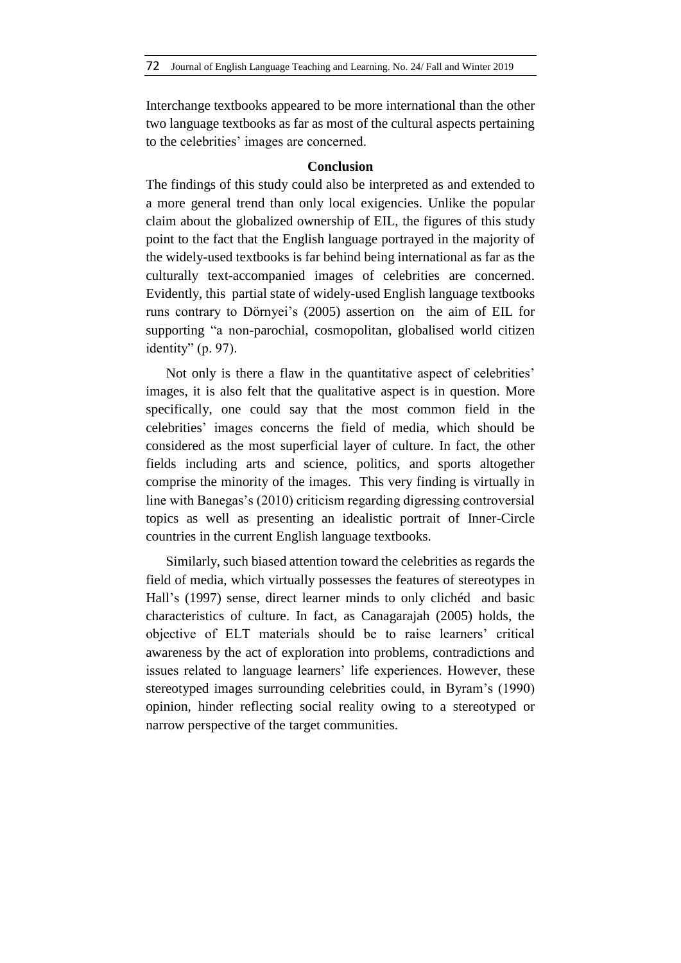Interchange textbooks appeared to be more international than the other two language textbooks as far as most of the cultural aspects pertaining to the celebrities' images are concerned.

# **Conclusion**

The findings of this study could also be interpreted as and extended to a more general trend than only local exigencies. Unlike the popular claim about the globalized ownership of EIL, the figures of this study point to the fact that the English language portrayed in the majority of the widely-used textbooks is far behind being international as far as the culturally text-accompanied images of celebrities are concerned. Evidently, this partial state of widely-used English language textbooks runs contrary to Dörnyei's (2005) assertion on the aim of EIL for supporting "a non-parochial, cosmopolitan, globalised world citizen identity" (p. 97).

Not only is there a flaw in the quantitative aspect of celebrities' images, it is also felt that the qualitative aspect is in question. More specifically, one could say that the most common field in the celebrities' images concerns the field of media, which should be considered as the most superficial layer of culture. In fact, the other fields including arts and science, politics, and sports altogether comprise the minority of the images. This very finding is virtually in line with Banegas's (2010) criticism regarding digressing controversial topics as well as presenting an idealistic portrait of Inner-Circle countries in the current English language textbooks.

Similarly, such biased attention toward the celebrities as regards the field of media, which virtually possesses the features of stereotypes in Hall's (1997) sense, direct learner minds to only clichéd and basic characteristics of culture. In fact, as Canagarajah (2005) holds, the objective of ELT materials should be to raise learners' critical awareness by the act of exploration into problems, contradictions and issues related to language learners' life experiences. However, these stereotyped images surrounding celebrities could, in Byram's (1990) opinion, hinder reflecting social reality owing to a stereotyped or narrow perspective of the target communities.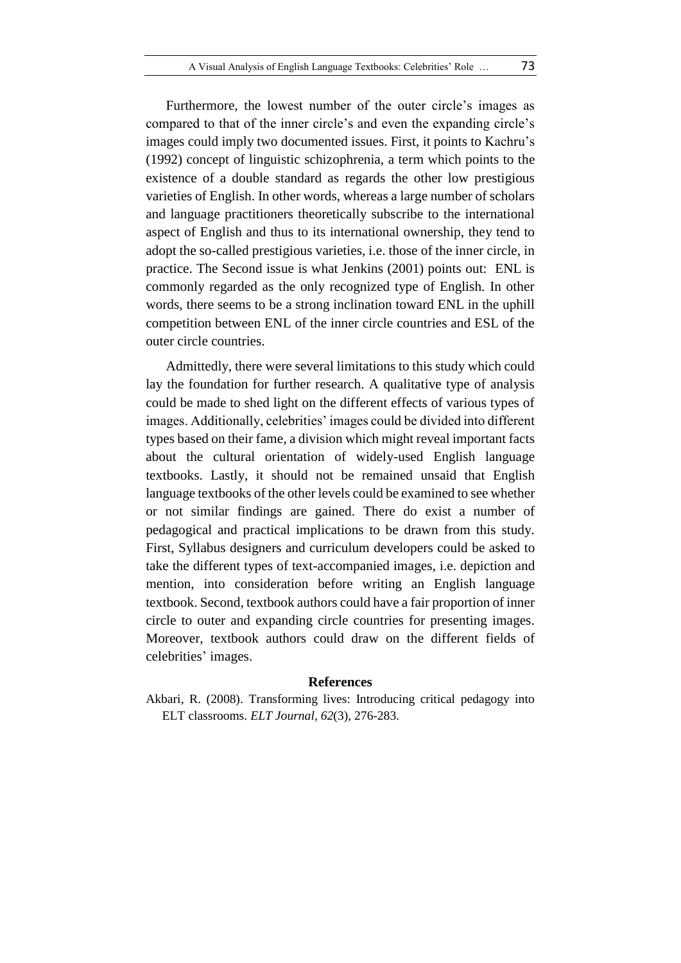Furthermore, the lowest number of the outer circle's images as compared to that of the inner circle's and even the expanding circle's images could imply two documented issues. First, it points to Kachru's (1992) concept of linguistic schizophrenia, a term which points to the existence of a double standard as regards the other low prestigious varieties of English. In other words, whereas a large number of scholars and language practitioners theoretically subscribe to the international aspect of English and thus to its international ownership, they tend to adopt the so-called prestigious varieties, i.e. those of the inner circle, in practice. The Second issue is what Jenkins (2001) points out: ENL is commonly regarded as the only recognized type of English. In other words, there seems to be a strong inclination toward ENL in the uphill competition between ENL of the inner circle countries and ESL of the outer circle countries.

Admittedly, there were several limitations to this study which could lay the foundation for further research. A qualitative type of analysis could be made to shed light on the different effects of various types of images. Additionally, celebrities' images could be divided into different types based on their fame, a division which might reveal important facts about the cultural orientation of widely-used English language textbooks. Lastly, it should not be remained unsaid that English language textbooks of the other levels could be examined to see whether or not similar findings are gained. There do exist a number of pedagogical and practical implications to be drawn from this study. First, Syllabus designers and curriculum developers could be asked to take the different types of text-accompanied images, i.e. depiction and mention, into consideration before writing an English language textbook. Second, textbook authors could have a fair proportion of inner circle to outer and expanding circle countries for presenting images. Moreover, textbook authors could draw on the different fields of celebrities' images.

#### **References**

Akbari, R. (2008). Transforming lives: Introducing critical pedagogy into ELT classrooms. *ELT Journal, 62*(3), 276-283.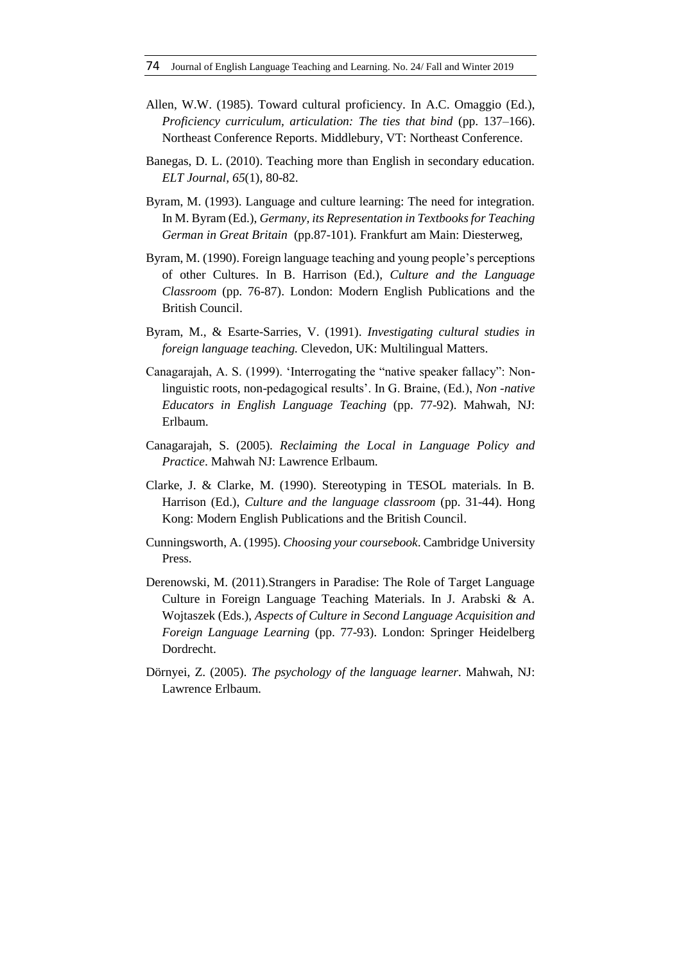- Allen, W.W. (1985). Toward cultural proficiency. In A.C. Omaggio (Ed.), *Proficiency curriculum, articulation: The ties that bind* (pp. 137–166). Northeast Conference Reports. Middlebury, VT: Northeast Conference.
- Banegas, D. L. (2010). Teaching more than English in secondary education. *ELT Journal, 65*(1), 80-82.
- Byram, M. (1993). Language and culture learning: The need for integration. In M. Byram (Ed.), *Germany, its Representation in Textbooks for Teaching German in Great Britain* (pp.87-101)*.* Frankfurt am Main: Diesterweg,
- Byram, M. (1990). Foreign language teaching and young people's perceptions of other Cultures. In B. Harrison (Ed.), *Culture and the Language Classroom* (pp. 76-87). London: Modern English Publications and the British Council.
- Byram, M., & Esarte-Sarries, V. (1991). *Investigating cultural studies in foreign language teaching.* Clevedon, UK: Multilingual Matters.
- Canagarajah, A. S. (1999). 'Interrogating the "native speaker fallacy": Nonlinguistic roots, non-pedagogical results'. In G. Braine, (Ed.), *Non -native Educators in English Language Teaching* (pp. 77-92). Mahwah, NJ: Erlbaum.
- Canagarajah, S. (2005). *Reclaiming the Local in Language Policy and Practice*. Mahwah NJ: Lawrence Erlbaum.
- Clarke, J. & Clarke, M. (1990). Stereotyping in TESOL materials. In B. Harrison (Ed.), *Culture and the language classroom* (pp. 31-44). Hong Kong: Modern English Publications and the British Council.
- Cunningsworth, A. (1995). *Choosing your coursebook*. Cambridge University Press.
- Derenowski, M. (2011).Strangers in Paradise: The Role of Target Language Culture in Foreign Language Teaching Materials. In J. Arabski & A. Wojtaszek (Eds.), *Aspects of Culture in Second Language Acquisition and Foreign Language Learning* (pp. 77-93). London: Springer Heidelberg Dordrecht.
- Dörnyei, Z. (2005). *The psychology of the language learner*. Mahwah, NJ: Lawrence Erlbaum.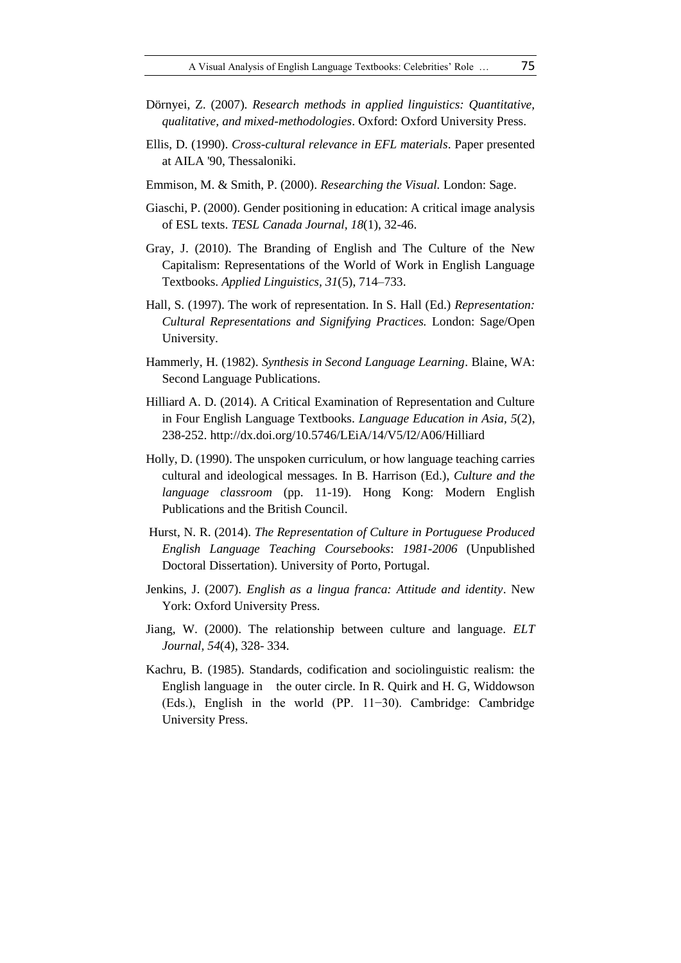- Dörnyei, Z. (2007). *Research methods in applied linguistics: Quantitative, qualitative, and mixed-methodologies*. Oxford: Oxford University Press.
- Ellis, D. (1990). *Cross-cultural relevance in EFL materials*. Paper presented at AILA '90, Thessaloniki.
- Emmison, M. & Smith, P. (2000). *Researching the Visual.* London: Sage.
- Giaschi, P. (2000). Gender positioning in education: A critical image analysis of ESL texts. *TESL Canada Journal, 18*(1), 32-46.
- Gray, J. (2010). The Branding of English and The Culture of the New Capitalism: Representations of the World of Work in English Language Textbooks. *Applied Linguistics, 31*(5), 714–733.
- Hall, S. (1997). The work of representation. In S. Hall (Ed.) *Representation: Cultural Representations and Signifying Practices.* London: Sage/Open University.
- Hammerly, H. (1982). *Synthesis in Second Language Learning*. Blaine, WA: Second Language Publications.
- Hilliard A. D. (2014). A Critical Examination of Representation and Culture in Four English Language Textbooks. *Language Education in Asia, 5*(2), 238-252. http://dx.doi.org/10.5746/LEiA/14/V5/I2/A06/Hilliard
- Holly, D. (1990). The unspoken curriculum, or how language teaching carries cultural and ideological messages. In B. Harrison (Ed.), *Culture and the language classroom* (pp. 11-19). Hong Kong: Modern English Publications and the British Council.
- Hurst, N. R. (2014). *The Representation of Culture in Portuguese Produced English Language Teaching Coursebooks*: *1981-2006* (Unpublished Doctoral Dissertation). University of Porto, Portugal.
- Jenkins, J. (2007). *English as a lingua franca: Attitude and identity*. New York: Oxford University Press.
- Jiang, W. (2000). The relationship between culture and language. *ELT Journal, 54*(4), 328- 334.
- Kachru, B. (1985). Standards, codification and sociolinguistic realism: the English language in the outer circle. In R. Quirk and H. G, Widdowson (Eds.), English in the world (PP. 11−30). Cambridge: Cambridge University Press.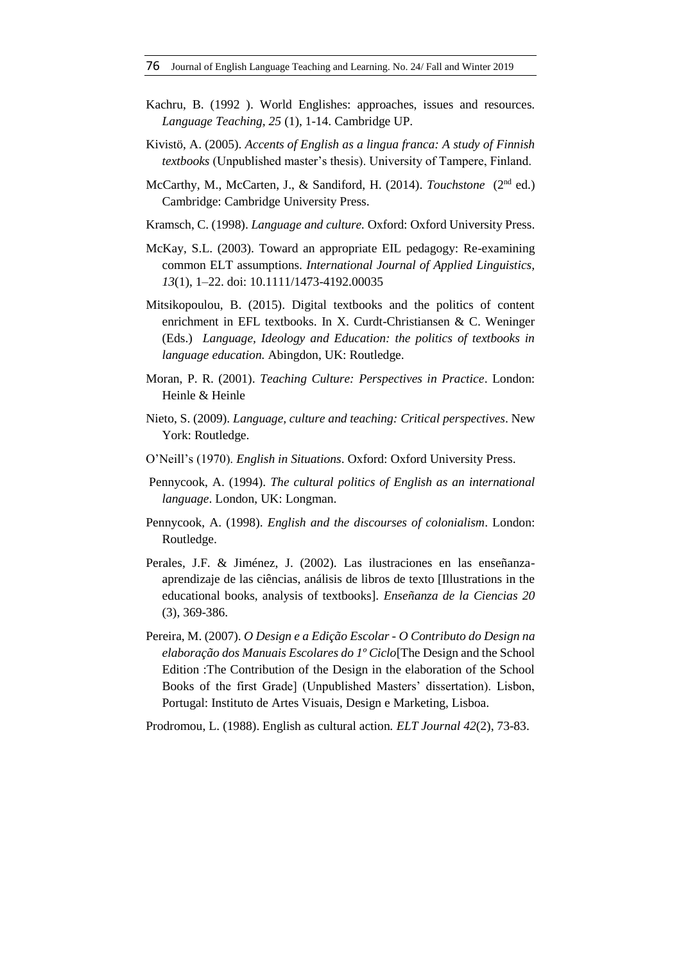- Kachru, B. (1992 ). World Englishes: approaches, issues and resources. *Language Teaching, 25* (1), 1-14. Cambridge UP.
- Kivistö, A. (2005). *Accents of English as a lingua franca: A study of Finnish textbooks* (Unpublished master's thesis). University of Tampere, Finland.
- McCarthy, M., McCarten, J., & Sandiford, H. (2014). *Touchstone* (2<sup>nd</sup> ed.) Cambridge: Cambridge University Press.
- Kramsch, C. (1998). *Language and culture.* Oxford: Oxford University Press.
- McKay, S.L. (2003). Toward an appropriate EIL pedagogy: Re-examining common ELT assumptions. *International Journal of Applied Linguistics, 13*(1), 1–22. doi: 10.1111/1473-4192.00035
- Mitsikopoulou, B. (2015). Digital textbooks and the politics of content enrichment in EFL textbooks. In X. Curdt-Christiansen & C. Weninger (Eds.) *Language, Ideology and Education: the politics of textbooks in language education.* Abingdon, UK: Routledge.
- Moran, P. R. (2001). *Teaching Culture: Perspectives in Practice*. London: Heinle & Heinle
- Nieto, S. (2009). *Language, culture and teaching: Critical perspectives*. New York: Routledge.
- O'Neill's (1970). *English in Situations*. Oxford: Oxford University Press.
- Pennycook, A. (1994). *The cultural politics of English as an international language*. London, UK: Longman.
- Pennycook, A. (1998). *English and the discourses of colonialism*. London: Routledge.
- Perales, J.F. & Jiménez, J. (2002). Las ilustraciones en las enseñanzaaprendizaje de las ciências, análisis de libros de texto [Illustrations in the educational books, analysis of textbooks]. *Enseñanza de la Ciencias 20* (3), 369-386.
- Pereira, M. (2007). *O Design e a Edição Escolar - O Contributo do Design na elaboração dos Manuais Escolares do 1º Ciclo*[The Design and the School Edition :The Contribution of the Design in the elaboration of the School Books of the first Grade] (Unpublished Masters' dissertation). Lisbon, Portugal: Instituto de Artes Visuais, Design e Marketing, Lisboa.
- Prodromou, L. (1988). English as cultural action*. ELT Journal 42*(2), 73-83.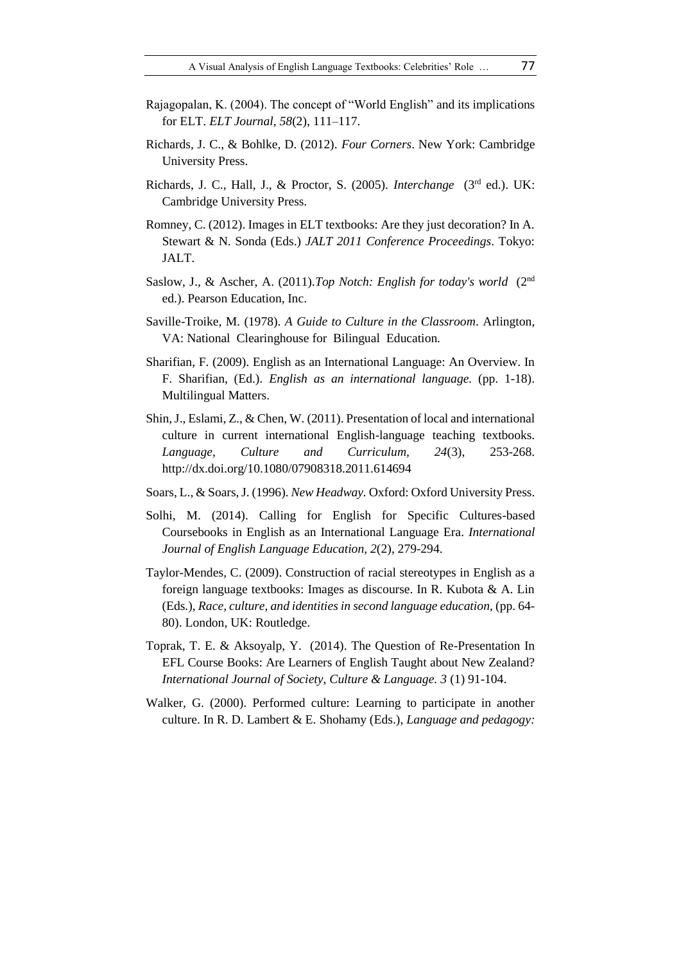- Rajagopalan, K. (2004). The concept of "World English" and its implications for ELT. *ELT Journal, 58*(2), 111–117.
- Richards, J. C., & Bohlke, D. (2012). *Four Corners*. New York: Cambridge University Press.
- Richards, J. C., Hall, J., & Proctor, S. (2005). *Interchange* (3rd ed.). UK: Cambridge University Press.
- Romney, C. (2012). Images in ELT textbooks: Are they just decoration? In A. Stewart & N. Sonda (Eds.) *JALT 2011 Conference Proceedings*. Tokyo: JALT.
- Saslow, J., & Ascher, A. (2011).*Top Notch: English for today's world* (2nd ed.). Pearson Education, Inc.
- Saville-Troike, M. (1978). *A Guide to Culture in the Classroom*. Arlington, VA: National Clearinghouse for Bilingual Education.
- Sharifian, F. (2009). English as an International Language: An Overview. In F. Sharifian, (Ed.). *English as an international language.* (pp. 1-18). Multilingual Matters.
- Shin, J., Eslami, Z., & Chen, W. (2011). Presentation of local and international culture in current international English-language teaching textbooks. *Language, Culture and Curriculum, 24*(3), 253-268. <http://dx.doi.org/10.1080/07908318.2011.614694>
- Soars, L., & Soars, J. (1996). *New Headway.* Oxford: Oxford University Press.
- Solhi, M. (2014). Calling for English for Specific Cultures-based Coursebooks in English as an International Language Era. *International Journal of English Language Education, 2*(2), 279-294.
- Taylor-Mendes, C. (2009). Construction of racial stereotypes in English as a foreign language textbooks: Images as discourse. In R. Kubota & A. Lin (Eds*.*), *Race, culture, and identities in second language education*, (pp. 64- 80). London, UK: Routledge.
- Toprak, T. E. & Aksoyalp, Y. (2014). The Question of Re-Presentation In EFL Course Books: Are Learners of English Taught about New Zealand? *International Journal of Society, Culture & Language. 3* (1) 91-104.
- Walker, G. (2000). Performed culture: Learning to participate in another culture. In R. D. Lambert & E. Shohamy (Eds.), *Language and pedagogy:*